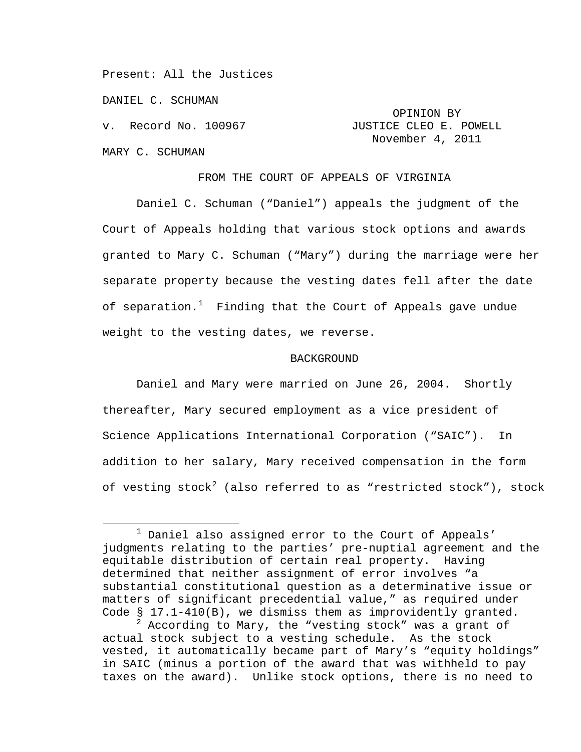Present: All the Justices

DANIEL C. SCHUMAN

v. Record No. 100967

MARY C. SCHUMAN

## OPINION BY<br>JUSTICE CLEO E. POWELL November 4, 2011

FROM THE COURT OF APPEALS OF VIRGINIA

Daniel C. Schuman ("Daniel") appeals the judgment of the Court of Appeals holding that various stock options and awards granted to Mary C. Schuman ("Mary") during the marriage were her separate property because the vesting dates fell after the date of separation.<sup>[1](#page-0-0)</sup> Finding that the Court of Appeals gave undue weight to the vesting dates, we reverse.

## BACKGROUND

Daniel and Mary were married on June 26, 2004. Shortly thereafter, Mary secured employment as a vice president of Science Applications International Corporation ("SAIC"). In addition to her salary, Mary received compensation in the form of vesting stock<sup>[2](#page-0-1)</sup> (also referred to as "restricted stock"), stock

<span id="page-0-0"></span> $1$  Daniel also assigned error to the Court of Appeals' judgments relating to the parties' pre-nuptial agreement and the equitable distribution of certain real property. Having determined that neither assignment of error involves "a substantial constitutional question as a determinative issue or matters of significant precedential value," as required under Code § 17.1-410(B), we dismiss them as improvidently granted.

<span id="page-0-2"></span><span id="page-0-1"></span> $^2$  According to Mary, the "vesting stock" was a grant of actual stock subject to a vesting schedule. As the stock vested, it automatically became part of Mary's "equity holdings" in SAIC (minus a portion of the award that was withheld to pay taxes on the award). Unlike stock options, there is no need to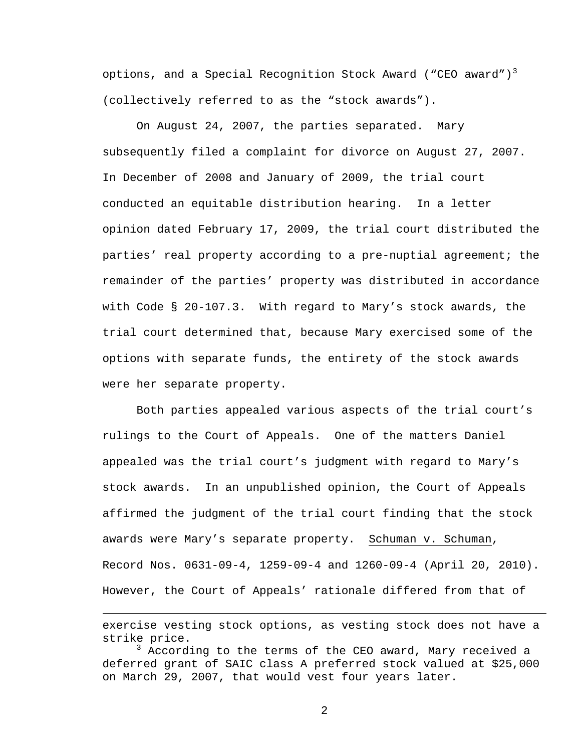options, and a Special Recognition Stock Award ("CEO award")<sup>[3](#page-0-2)</sup> (collectively referred to as the "stock awards").

On August 24, 2007, the parties separated. Mary subsequently filed a complaint for divorce on August 27, 2007. In December of 2008 and January of 2009, the trial court conducted an equitable distribution hearing. In a letter opinion dated February 17, 2009, the trial court distributed the parties' real property according to a pre-nuptial agreement; the remainder of the parties' property was distributed in accordance with Code § 20-107.3. With regard to Mary's stock awards, the trial court determined that, because Mary exercised some of the options with separate funds, the entirety of the stock awards were her separate property.

Both parties appealed various aspects of the trial court's rulings to the Court of Appeals. One of the matters Daniel appealed was the trial court's judgment with regard to Mary's stock awards. In an unpublished opinion, the Court of Appeals affirmed the judgment of the trial court finding that the stock awards were Mary's separate property. Schuman v. Schuman, Record Nos. 0631-09-4, 1259-09-4 and 1260-09-4 (April 20, 2010). However, the Court of Appeals' rationale differed from that of

Ĩ.

<span id="page-1-0"></span>exercise vesting stock options, as vesting stock does not have a strike price.

 $^3$  According to the terms of the CEO award, Mary received a deferred grant of SAIC class A preferred stock valued at \$25,000 on March 29, 2007, that would vest four years later.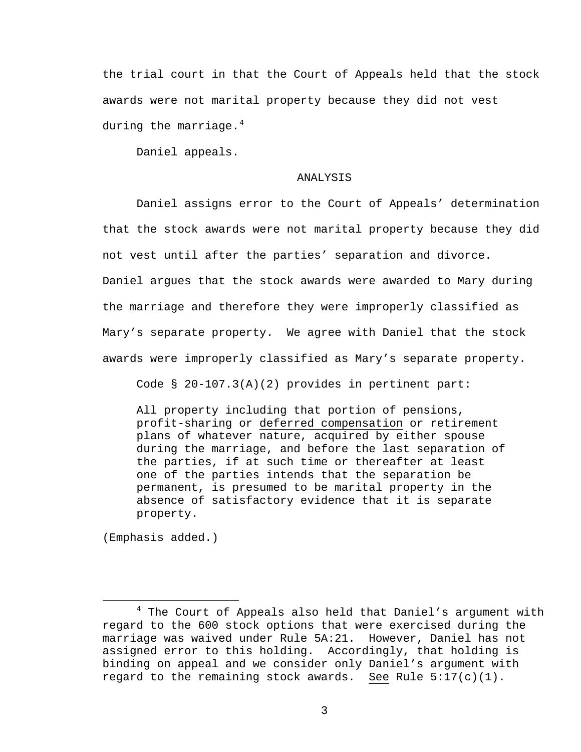the trial court in that the Court of Appeals held that the stock awards were not marital property because they did not vest during the marriage. $4$ 

Daniel appeals.

## ANALYSIS

Daniel assigns error to the Court of Appeals' determination that the stock awards were not marital property because they did not vest until after the parties' separation and divorce. Daniel argues that the stock awards were awarded to Mary during the marriage and therefore they were improperly classified as Mary's separate property. We agree with Daniel that the stock awards were improperly classified as Mary's separate property.

Code § 20-107.3(A)(2) provides in pertinent part:

<span id="page-2-0"></span>All property including that portion of pensions, profit-sharing or deferred compensation or retirement plans of whatever nature, acquired by either spouse during the marriage, and before the last separation of the parties, if at such time or thereafter at least one of the parties intends that the separation be permanent, is presumed to be marital property in the absence of satisfactory evidence that it is separate property.

(Emphasis added.)

 $4$  The Court of Appeals also held that Daniel's argument with regard to the 600 stock options that were exercised during the marriage was waived under Rule 5A:21. However, Daniel has not assigned error to this holding. Accordingly, that holding is binding on appeal and we consider only Daniel's argument with regard to the remaining stock awards. See Rule  $5:17(c)(1)$ .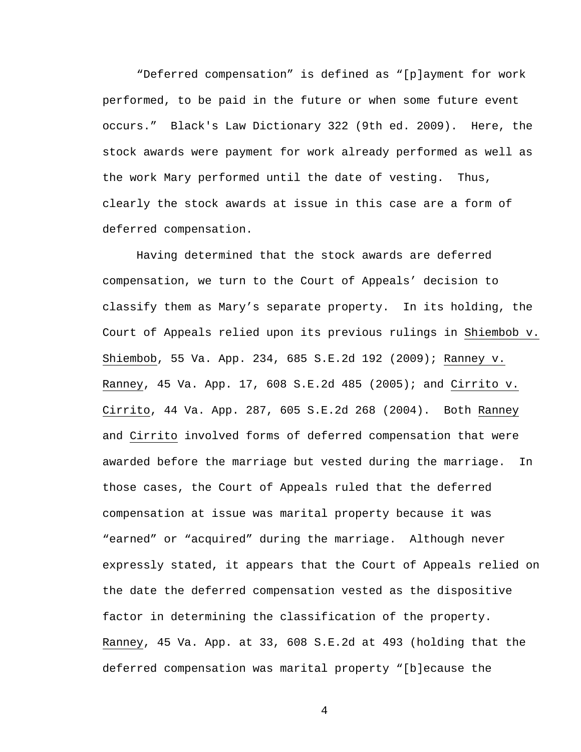"Deferred compensation" is defined as "[p]ayment for work performed, to be paid in the future or when some future event occurs." Black's Law Dictionary 322 (9th ed. 2009). Here, the stock awards were payment for work already performed as well as the work Mary performed until the date of vesting. Thus, clearly the stock awards at issue in this case are a form of deferred compensation.

Having determined that the stock awards are deferred compensation, we turn to the Court of Appeals' decision to classify them as Mary's separate property. In its holding, the Court of Appeals relied upon its previous rulings in Shiembob v. Shiembob, 55 Va. App. 234, 685 S.E.2d 192 (2009); Ranney v. Ranney, 45 Va. App. 17, 608 S.E.2d 485 (2005); and Cirrito v. Cirrito, 44 Va. App. 287, 605 S.E.2d 268 (2004). Both Ranney and Cirrito involved forms of deferred compensation that were awarded before the marriage but vested during the marriage. In those cases, the Court of Appeals ruled that the deferred compensation at issue was marital property because it was "earned" or "acquired" during the marriage. Although never expressly stated, it appears that the Court of Appeals relied on the date the deferred compensation vested as the dispositive factor in determining the classification of the property. Ranney, 45 Va. App. at 33, 608 S.E.2d at 493 (holding that the deferred compensation was marital property "[b]ecause the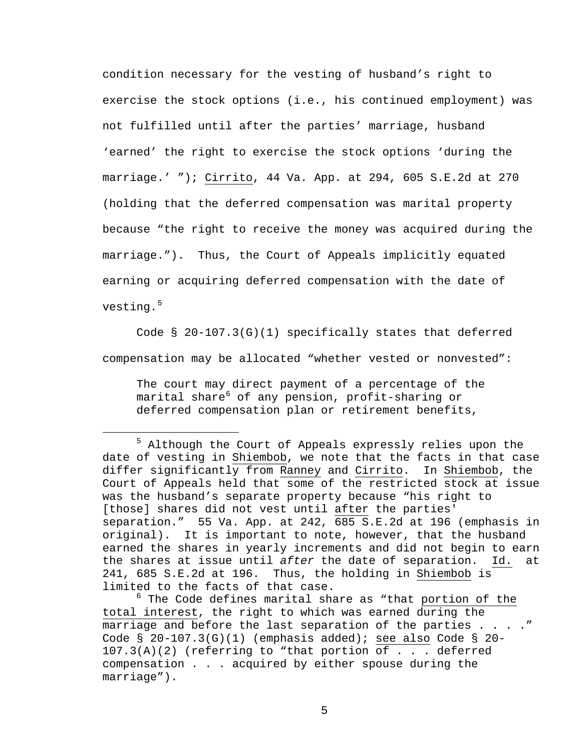condition necessary for the vesting of husband's right to exercise the stock options (i.e., his continued employment) was not fulfilled until after the parties' marriage, husband 'earned' the right to exercise the stock options 'during the marriage.' "); Cirrito, 44 Va. App. at 294, 605 S.E.2d at 270 (holding that the deferred compensation was marital property because "the right to receive the money was acquired during the marriage."). Thus, the Court of Appeals implicitly equated earning or acquiring deferred compensation with the date of vesting.<sup>[5](#page-2-0)</sup>

Code § 20-107.3(G)(1) specifically states that deferred compensation may be allocated "whether vested or nonvested":

The court may direct payment of a percentage of the marital share<sup>[6](#page-4-0)</sup> of any pension, profit-sharing or deferred compensation plan or retirement benefits,

<sup>&</sup>lt;sup>5</sup> Although the Court of Appeals expressly relies upon the date of vesting in Shiembob, we note that the facts in that case differ significantly from Ranney and Cirrito. In Shiembob, the Court of Appeals held that some of the restricted stock at issue was the husband's separate property because "his right to [those] shares did not vest until after the parties' separation." 55 Va. App. at 242, 685 S.E.2d at 196 (emphasis in original). It is important to note, however, that the husband earned the shares in yearly increments and did not begin to earn the shares at issue until *after* the date of separation. Id. at 241, 685 S.E.2d at 196. Thus, the holding in Shiembob is limited to the facts of that case.

<span id="page-4-1"></span><span id="page-4-0"></span> $^6$  The Code defines marital share as "that portion of the total interest, the right to which was earned during the marriage and before the last separation of the parties . . . . " Code  $\S$  20-107.3(G)(1) (emphasis added); see also Code  $\S$  20-107.3(A)(2) (referring to "that portion of . . . deferred compensation . . . acquired by either spouse during the marriage").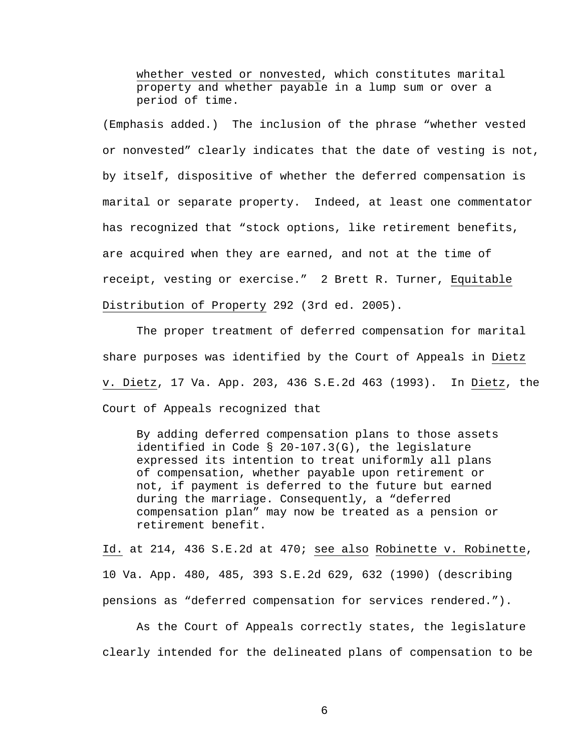whether vested or nonvested, which constitutes marital property and whether payable in a lump sum or over a period of time.

(Emphasis added.) The inclusion of the phrase "whether vested or nonvested" clearly indicates that the date of vesting is not, by itself, dispositive of whether the deferred compensation is marital or separate property. Indeed, at least one commentator has recognized that "stock options, like retirement benefits, are acquired when they are earned, and not at the time of receipt, vesting or exercise." 2 Brett R. Turner, Equitable Distribution of Property 292 (3rd ed. 2005).

The proper treatment of deferred compensation for marital share purposes was identified by the Court of Appeals in Dietz v. Dietz, 17 Va. App. 203, 436 S.E.2d 463 (1993). In Dietz, the Court of Appeals recognized that

By adding deferred compensation plans to those assets identified in Code § 20-107.3(G), the legislature expressed its intention to treat uniformly all plans of compensation, whether payable upon retirement or not, if payment is deferred to the future but earned during the marriage. Consequently, a "deferred compensation plan" may now be treated as a pension or retirement benefit.

Id. at 214, 436 S.E.2d at 470; see also Robinette v. Robinette, 10 Va. App. 480, 485, 393 S.E.2d 629, 632 (1990) (describing pensions as "deferred compensation for services rendered.").

As the Court of Appeals correctly states, the legislature clearly intended for the delineated plans of compensation to be